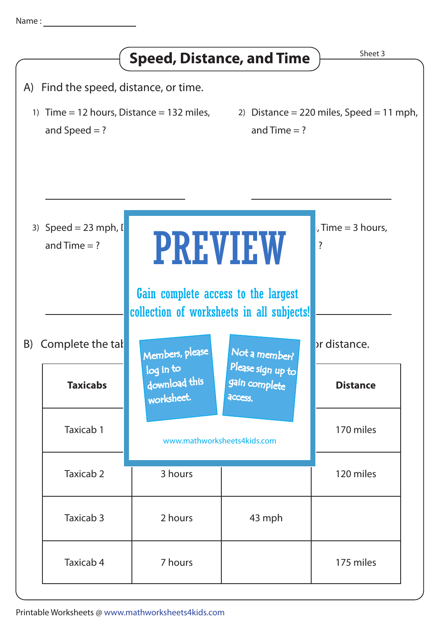